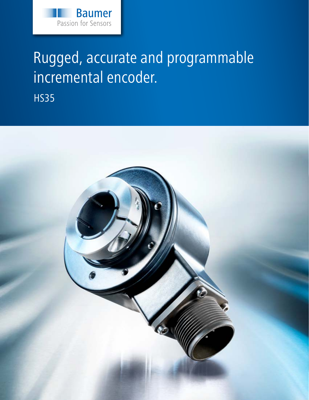

# Rugged, accurate and programmable incremental encoder.

HS35

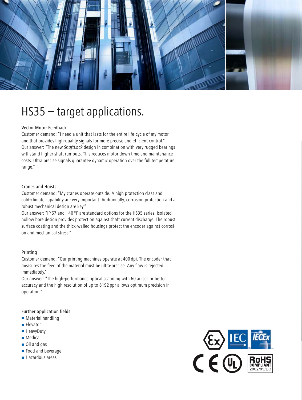

## HS35 – target applications.

#### Vector Motor Feedback

Customer demand: "I need a unit that lasts for the entire life-cycle of my motor and that provides high-quality signals for more precise and efficient control." Our answer: "The new *ShaftLock* design in combination with very rugged bearings withstand higher shaft run-outs. This reduces motor down time and maintenance costs. Ultra precise signals guarantee dynamic operation over the full temperature range."

#### Cranes and Hoists

Customer demand: "My cranes operate outside. A high protection class and cold-climate capability are very important. Additionally, corrosion protection and a robust mechanical design are key."

Our answer: "IP 67 and –40 °F are standard options for the HS35 series. Isolated hollow bore design provides protection against shaft current discharge. The robust surface coating and the thick-walled housings protect the encoder against corrosion and mechanical stress."

#### Printing

Customer demand: "Our printing machines operate at 400 dpi. The encoder that measures the feed of the material must be ultra-precise. Any flaw is rejected immediately."

Our answer: "The high-performance optical scanning with 60 arcsec or better accuracy and the high resolution of up to 8192 ppr allows optimum precision in operation."

#### Further application fields

- **Material handling**
- **Elevator**
- HeavyDuty
- **Medical**
- Oil and gas
- Food and beverage
- Hazardous areas

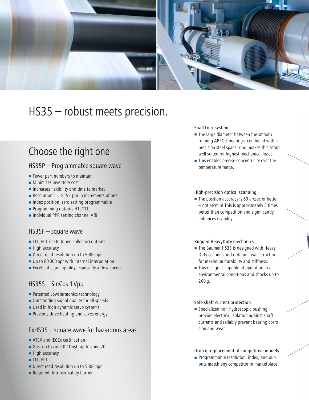

## HS35 – robust meets precision.

### Choose the right one

### HS35P – Programmable square wave

- $\blacksquare$  Fewer part numbers to maintain
- **Minimizes inventory cost**
- **Increases flexibility and time to market**
- Resolution 1 ... 8192 ppr in increments of one
- Index position, zero setting programmable
- **Programming outputs HTL/TTL**
- **Individual PPR setting channel A/B**

#### HS35F – square wave

- TTL, HTL or OC (open collector) outputs
- **High accuracy**
- Direct read resolution up to 5000 ppr
- Up to 80 000 ppr with internal interpolation
- Excellent signal quality, especially at low speeds

### HS35S – SinCos 1Vpp

- **Patented LowHarmonics technology**
- Outstanding signal quality for all speeds
- **Used in high dynamic servo systems**
- Prevents drive heating and saves energy

### ExHS35 – square wave for hazardous areas

- **ATEX and IECEX certification**
- Gas: up to zone 0 / Dust: up to zone 20
- $\blacksquare$  High accuracy
- **TTL, HTL**
- Direct read resolution up to 5000 ppr
- **Required: Intrinsic safety barrier**

#### ShaftLock system

- The large diameter between the smooth running ABEC 5 bearings, combined with a precision steel spacer ring, makes this setup well suited for highest mechanical loads.
- This enables precise concentricity over the temperature range.

#### High-precision optical scanning

The position accuracy is 60 arcsec or better – not arcmin! This is approximately 5 times better than competition and significantly enhances usability.

#### Rugged HeavyDuty mechanics

- The Baumer HS35 is designed with Heavy-Duty castings and optimum wall structure for maximum durability and stiffness.
- This design is capable of operation in all environmental conditions and shocks up to 200 g.

#### Safe shaft current protection

Specialized non-hydroscopic bushing provide electrical isolation against shaft currents and reliably prevent bearing corrosion and wear.

#### Drop in replacement of competitive models

**Programmable resolution, index, and out**puts match any competitor in marketplace.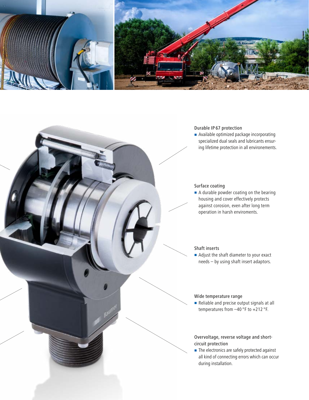

#### Durable IP 67 protection

 Available optimized package incorporating specialized dual seals and lubricants ensuring lifetime protection in all environements.

#### Surface coating

A durable powder coating on the bearing housing and cover effectively protects against corosion, even after long term operation in harsh enviroments.

#### Shaft inserts

Adjust the shaft diameter to your exact needs – by using shaft insert adaptors.

#### Wide temperature range

Reliable and precise output signals at all temperatures from –40 °F to +212 °F.

#### Overvoltage, reverse voltage and shortcircuit protection

The electronics are safely protected against all kind of connecting errors which can occur during installation.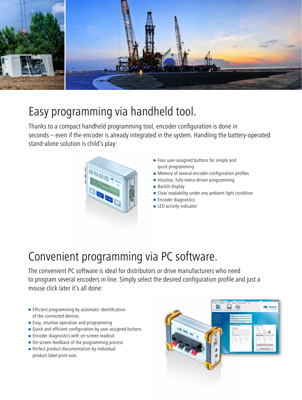

## Easy programming via handheld tool.

Thanks to a compact handheld programming tool, encoder configuration is done in seconds – even if the encoder is already integrated in the system. Handling the battery-operated stand-alone solution is child's play:



- **Four user-assigned buttons for simple and** quick programming
- **Memory of several encoder configuration profiles**
- **Intuitive, fully menu-driven programming**
- Backlit display
- **Clear readability under any ambient light condition**
- **Encoder diagnostics**
- **LED** activity indicator

## Convenient programming via PC software.

The convenient PC software is ideal for distributors or drive manufacturers who need to program several encoders in line. Simply select the desired configuration profile and just a mouse click later it's all done:

- **Efficient programming by automatic identification** of the connected devices
- $\blacksquare$  Easy, intuitive operation and programming
- Quick and efficient configuration by user-assigned buttons
- **Encoder diagnostics with on-screen readout**
- On-screen feedback of the programming process
- **Perfect product documentation by individual** product label print outs

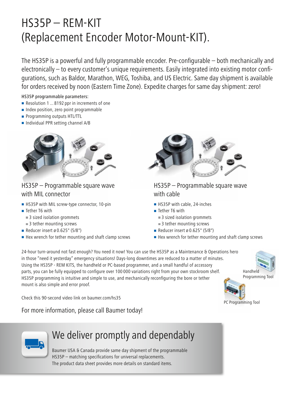## HS35P – REM-KIT (Replacement Encoder Motor-Mount-KIT).

The HS35P is a powerful and fully programmable encoder. Pre-configurable – both mechanically and electronically – to every customer's unique requirements. Easily integrated into existing motor configurations, such as Baldor, Marathon, WEG, Toshiba, and US Electric. Same day shipment is available for orders received by noon (Eastern Time Zone). Expedite charges for same day shipment: zero!

#### HS35P programmable parameters:

- Resolution 1...8192 ppr in increments of one
- Index position, zero point programmable
- **Programming outputs HTL/TTL**
- Individual PPR setting channel A/B



### HS35P – Programmable square wave with MIL connector

- HS35P with MIL screw-type connector, 10-pin
- Tether T6 with
	- 3 sized isolation grommets
	- 3 tether mounting screws
- Reducer insert ø 0.625" (5/8")
- $\blacksquare$  Hex wrench for tether mounting and shaft clamp screws



### HS35P – Programmable square wave with cable

- HS35P with cable, 24-inches
- Tether T6 with
- 3 sized isolation grommets
- 3 tether mounting screws
- Reducer insert ø 0.625" (5/8")
- Hex wrench for tether mounting and shaft clamp screws

24-hour turn-around not fast enough? You need it now! You can use the HS35P as a Maintenance & Operations hero in those "need it yesterday" emergency situations! Days-long downtimes are reduced to a matter of minutes. Using the HS35P - REM KITS, the handheld or PC-based programmer, and a small handful of accessory parts, you can be fully equipped to configure over 100 000 variations right from your own stockroom shelf. HS35P programming is intuitive and simple to use, and mechanically reconfiguring the bore or tether mount is also simple and error proof.

Handheld Programming Tool

PC Programming Tool

Check this 90-second video link on baumer.com/hs35

For more information, please call Baumer today!



### We deliver promptly and dependably

Baumer USA & Canada provide same day shipment of the programmable HS35P – matching specifications for universal replacements. The product data sheet provides more details on standard items.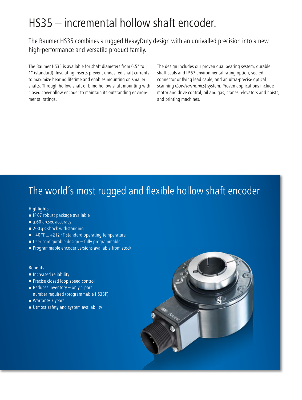## HS35 – incremental hollow shaft encoder.

The Baumer HS35 combines a rugged HeavyDuty design with an unrivalled precision into a new high-performance and versatile product family.

The Baumer HS35 is available for shaft diameters from 0.5" to 1" (standard). Insulating inserts prevent undesired shaft currents to maximize bearing lifetime and enables mounting on smaller shafts. Through hollow shaft or blind hollow shaft mounting with closed cover allow encoder to maintain its outstanding environmental ratings.

The design includes our proven dual bearing system, durable shaft seals and IP 67 environmental rating option, sealed connector or flying lead cable, and an ultra-precise optical scanning (*LowHarmonics*) system. Proven applications include motor and drive control, oil and gas, cranes, elevators and hoists, and printing machines.

### The world´s most rugged and flexible hollow shaft encoder

#### **Highlights**

- $\blacksquare$  IP 67 robust package available
- ≤60 arcsec accuracy
- 200 g's shock withstanding
- $-40$  °F ... +212 °F standard operating temperature
- $\blacksquare$  User configurable design fully programmable
- **Programmable encoder versions available from stock**

#### Benefits

- **Increased reliability**
- **Precise closed loop speed control**
- Reduces inventory  $-$  only 1 part number required (programmable HS35P)
- Warranty 3 years
- **Utmost safety and system availability**